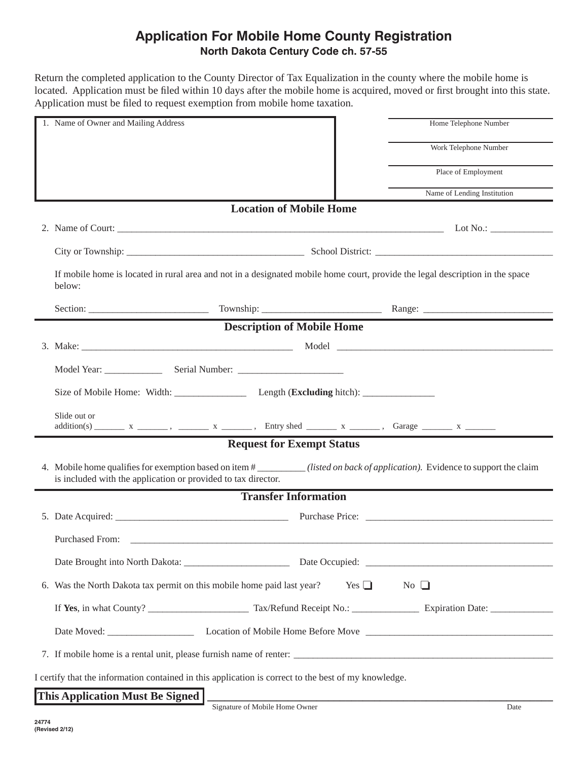## **Application For Mobile Home County Registration North Dakota Century Code ch. 57-55**

Return the completed application to the County Director of Tax Equalization in the county where the mobile home is located. Application must be filed within 10 days after the mobile home is acquired, moved or first brought into this state. Application must be filed to request exemption from mobile home taxation.

| 1. Name of Owner and Mailing Address                                                                                                                                                          | Home Telephone Number       |
|-----------------------------------------------------------------------------------------------------------------------------------------------------------------------------------------------|-----------------------------|
|                                                                                                                                                                                               | Work Telephone Number       |
|                                                                                                                                                                                               | Place of Employment         |
|                                                                                                                                                                                               | Name of Lending Institution |
| <b>Location of Mobile Home</b>                                                                                                                                                                |                             |
|                                                                                                                                                                                               |                             |
|                                                                                                                                                                                               |                             |
| If mobile home is located in rural area and not in a designated mobile home court, provide the legal description in the space<br>below:                                                       |                             |
|                                                                                                                                                                                               |                             |
| <b>Description of Mobile Home</b>                                                                                                                                                             |                             |
|                                                                                                                                                                                               |                             |
|                                                                                                                                                                                               |                             |
|                                                                                                                                                                                               |                             |
| Slide out or                                                                                                                                                                                  |                             |
| <b>Request for Exempt Status</b>                                                                                                                                                              |                             |
| 4. Mobile home qualifies for exemption based on item #________(listed on back of application). Evidence to support the claim<br>is included with the application or provided to tax director. |                             |
| <b>Transfer Information</b>                                                                                                                                                                   |                             |
|                                                                                                                                                                                               |                             |
| <b>Purchased From:</b>                                                                                                                                                                        |                             |
|                                                                                                                                                                                               |                             |
| 6. Was the North Dakota tax permit on this mobile home paid last year? Yes $\Box$<br>$No$ $\Box$                                                                                              |                             |
|                                                                                                                                                                                               |                             |
|                                                                                                                                                                                               |                             |
|                                                                                                                                                                                               |                             |
| I certify that the information contained in this application is correct to the best of my knowledge.                                                                                          |                             |
| This Application Must Be Signed                                                                                                                                                               |                             |